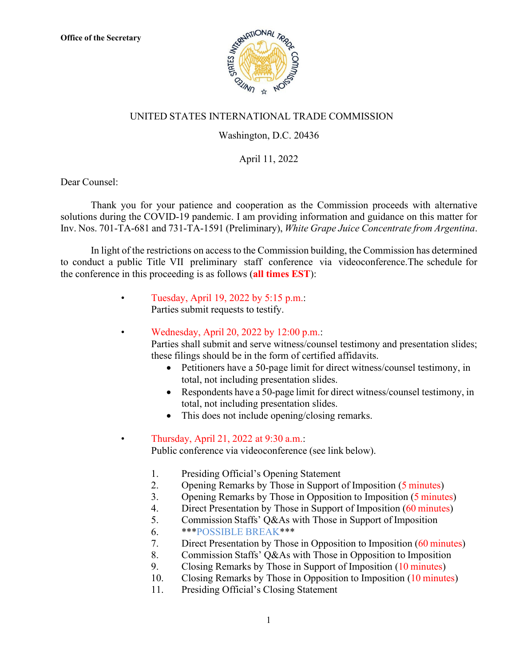

## UNITED STATES INTERNATIONAL TRADE COMMISSION

## Washington, D.C. 20436

## April 11, 2022

Dear Counsel:

Thank you for your patience and cooperation as the Commission proceeds with alternative solutions during the COVID-19 pandemic. I am providing information and guidance on this matter for Inv. Nos. 701-TA-681 and 731-TA-1591 (Preliminary), *White Grape Juice Concentrate from Argentina*.

In light of the restrictions on access to the Commission building, the Commission has determined to conduct a public Title VII preliminary staff conference via videoconference.The schedule for the conference in this proceeding is as follows (**all times EST**):

- Tuesday, April 19, 2022 by 5:15 p.m.: Parties submit requests to testify.
	- Wednesday, April 20, 2022 by 12:00 p.m.:

Parties shall submit and serve witness/counsel testimony and presentation slides; these filings should be in the form of certified affidavits.

- Petitioners have a 50-page limit for direct witness/counsel testimony, in total, not including presentation slides.
- Respondents have a 50-page limit for direct witness/counsel testimony, in total, not including presentation slides.
- This does not include opening/closing remarks.

## • Thursday, April 21, 2022 at 9:30 a.m.:

Public conference via videoconference (see link below).

- 1. Presiding Official's Opening Statement
- 2. Opening Remarks by Those in Support of Imposition (5 minutes)
- 3. Opening Remarks by Those in Opposition to Imposition (5 minutes)
- 4. Direct Presentation by Those in Support of Imposition (60 minutes)
- 5. Commission Staffs' Q&As with Those in Support of Imposition
- 6. \*\*\*POSSIBLE BREAK\*\*\*
- 7. Direct Presentation by Those in Opposition to Imposition (60 minutes)
- 8. Commission Staffs' Q&As with Those in Opposition to Imposition
- 9. Closing Remarks by Those in Support of Imposition (10 minutes)
- 10. Closing Remarks by Those in Opposition to Imposition (10 minutes)
- 11. Presiding Official's Closing Statement